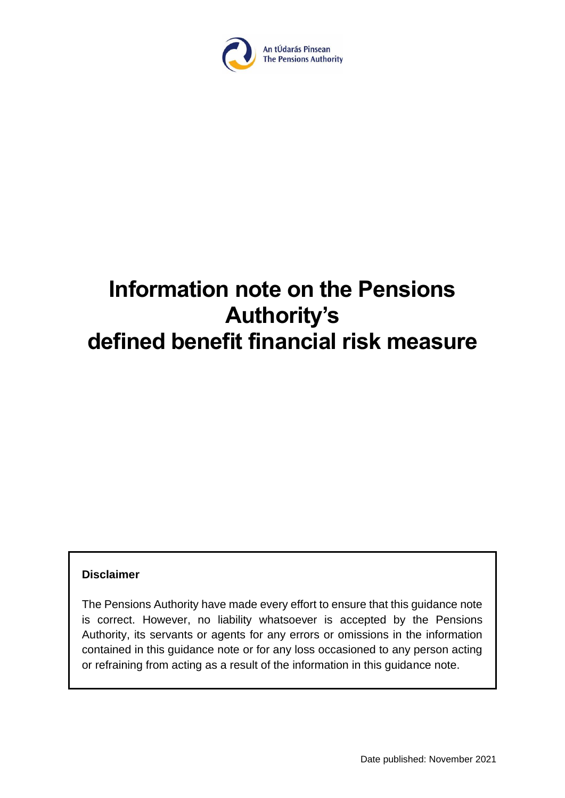

# **Information note on the Pensions Authority's defined benefit financial risk measure**

#### **Disclaimer**

The Pensions Authority have made every effort to ensure that this guidance note is correct. However, no liability whatsoever is accepted by the Pensions Authority, its servants or agents for any errors or omissions in the information contained in this guidance note or for any loss occasioned to any person acting or refraining from acting as a result of the information in this guidance note.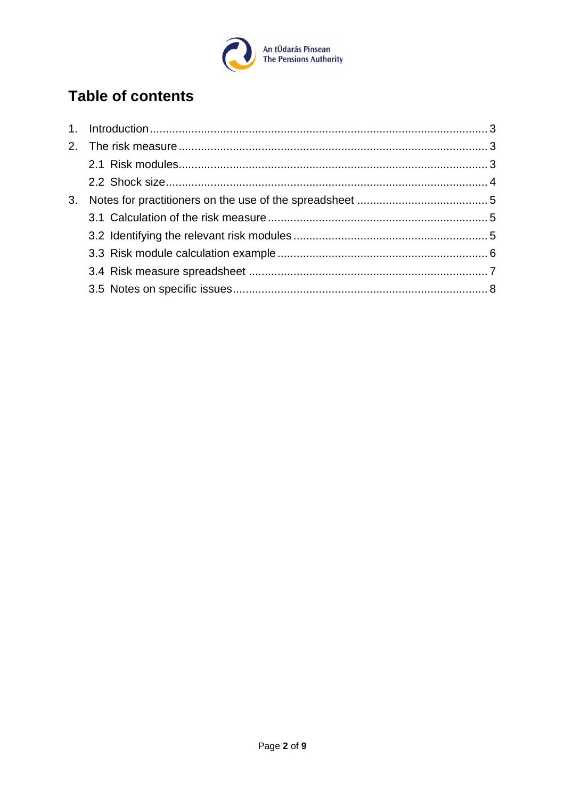

# **Table of contents**

| 3. |  |
|----|--|
|    |  |
|    |  |
|    |  |
|    |  |
|    |  |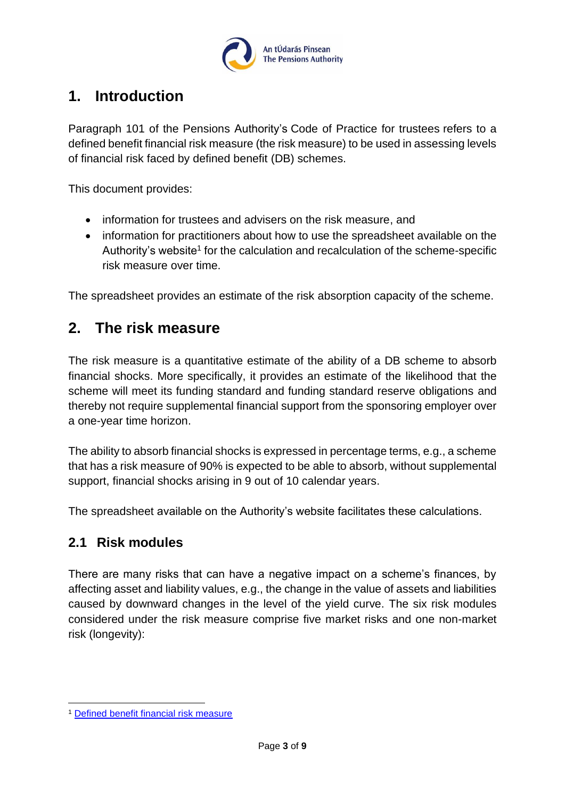

# <span id="page-2-0"></span>**1. Introduction**

Paragraph 101 of the Pensions Authority's [Code of Practice for trustees](https://www.pensionsauthority.ie/en/trustees_registered_administrators/code_of_practice_for_trustees/) refers to a defined benefit financial risk measure (the risk measure) to be used in assessing levels of financial risk faced by defined benefit (DB) schemes.

This document provides:

- information for trustees and advisers on the risk measure, and
- information for practitioners about how to use the spreadsheet available on the Authority's website<sup>1</sup> for the calculation and recalculation of the scheme-specific risk measure over time.

The spreadsheet provides an estimate of the risk absorption capacity of the scheme.

# <span id="page-2-1"></span>**2. The risk measure**

The risk measure is a quantitative estimate of the ability of a DB scheme to absorb financial shocks. More specifically, it provides an estimate of the likelihood that the scheme will meet its funding standard and funding standard reserve obligations and thereby not require supplemental financial support from the sponsoring employer over a one-year time horizon.

The ability to absorb financial shocks is expressed in percentage terms, e.g., a scheme that has a risk measure of 90% is expected to be able to absorb, without supplemental support, financial shocks arising in 9 out of 10 calendar years.

The spreadsheet available on the Authority's website facilitates these calculations.

### <span id="page-2-2"></span>**2.1 Risk modules**

There are many risks that can have a negative impact on a scheme's finances, by affecting asset and liability values, e.g., the change in the value of assets and liabilities caused by downward changes in the level of the yield curve. The six risk modules considered under the risk measure comprise five market risks and one non-market risk (longevity):

<sup>1</sup> [Defined benefit financial risk measure](https://www.pensionsauthority.ie/en/trustees_registered_administrators/defined_benefit_financial_risk_measure/)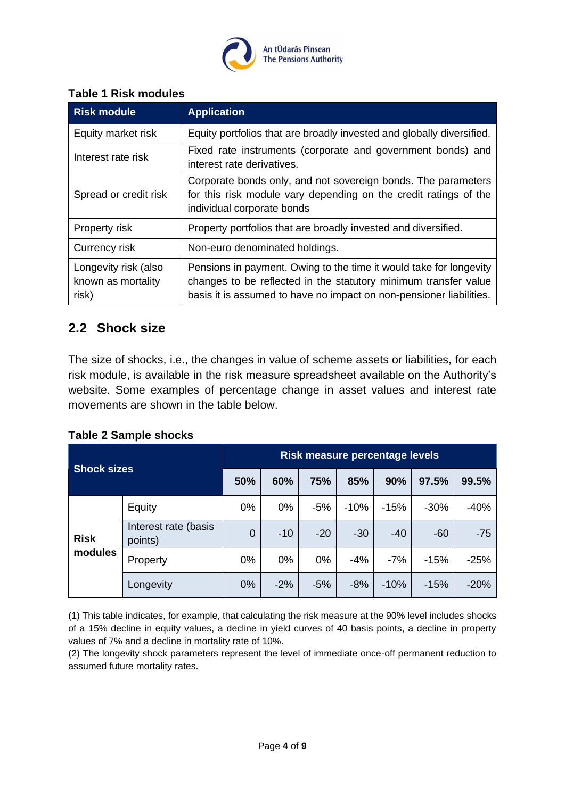

#### **Table 1 Risk modules**

| <b>Risk module</b>                                  | <b>Application</b>                                                                                                                                                                                           |  |  |  |  |
|-----------------------------------------------------|--------------------------------------------------------------------------------------------------------------------------------------------------------------------------------------------------------------|--|--|--|--|
| Equity market risk                                  | Equity portfolios that are broadly invested and globally diversified.                                                                                                                                        |  |  |  |  |
| Interest rate risk                                  | Fixed rate instruments (corporate and government bonds) and<br>interest rate derivatives.                                                                                                                    |  |  |  |  |
| Spread or credit risk                               | Corporate bonds only, and not sovereign bonds. The parameters<br>for this risk module vary depending on the credit ratings of the<br>individual corporate bonds                                              |  |  |  |  |
| Property risk                                       | Property portfolios that are broadly invested and diversified.                                                                                                                                               |  |  |  |  |
| Currency risk                                       | Non-euro denominated holdings.                                                                                                                                                                               |  |  |  |  |
| Longevity risk (also<br>known as mortality<br>risk) | Pensions in payment. Owing to the time it would take for longevity<br>changes to be reflected in the statutory minimum transfer value<br>basis it is assumed to have no impact on non-pensioner liabilities. |  |  |  |  |

## <span id="page-3-0"></span>**2.2 Shock size**

The size of shocks, i.e., the changes in value of scheme assets or liabilities, for each risk module, is available in the risk measure spreadsheet available on the Authority's website. Some examples of percentage change in asset values and interest rate movements are shown in the table below.

#### **Table 2 Sample shocks**

| <b>Shock sizes</b> | Risk measure percentage levels  |     |       |       |        |        |        |        |
|--------------------|---------------------------------|-----|-------|-------|--------|--------|--------|--------|
|                    | 50%                             | 60% | 75%   | 85%   | 90%    | 97.5%  | 99.5%  |        |
|                    | Equity                          | 0%  | 0%    | $-5%$ | $-10%$ | $-15%$ | $-30%$ | $-40%$ |
| <b>Risk</b>        | Interest rate (basis<br>points) | 0   | $-10$ | $-20$ | $-30$  | $-40$  | $-60$  | $-75$  |
| modules            | Property                        | 0%  | 0%    | 0%    | $-4%$  | $-7%$  | $-15%$ | $-25%$ |
|                    | Longevity                       | 0%  | $-2%$ | $-5%$ | $-8%$  | $-10%$ | $-15%$ | $-20%$ |

(1) This table indicates, for example, that calculating the risk measure at the 90% level includes shocks of a 15% decline in equity values, a decline in yield curves of 40 basis points, a decline in property values of 7% and a decline in mortality rate of 10%.

(2) The longevity shock parameters represent the level of immediate once-off permanent reduction to assumed future mortality rates.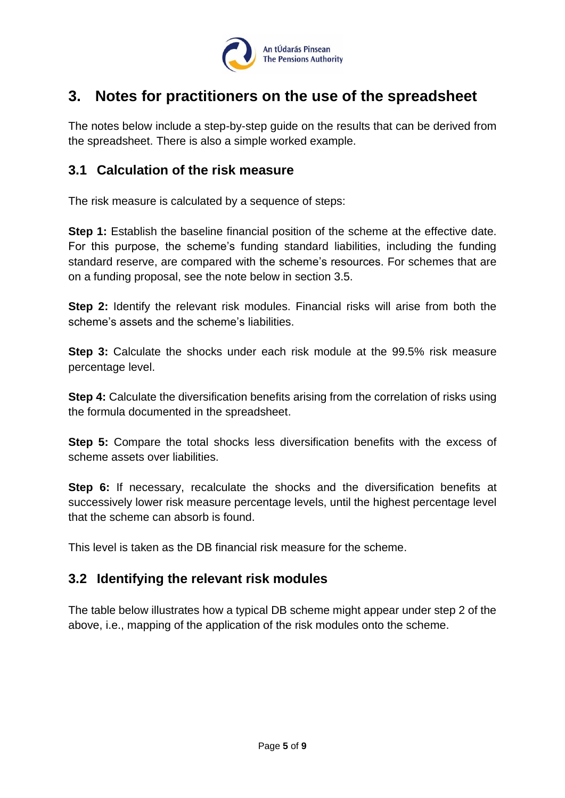

# <span id="page-4-0"></span>**3. Notes for practitioners on the use of the spreadsheet**

The notes below include a step-by-step guide on the results that can be derived from the spreadsheet. There is also a simple worked example.

## <span id="page-4-1"></span>**3.1 Calculation of the risk measure**

The risk measure is calculated by a sequence of steps:

**Step 1:** Establish the baseline financial position of the scheme at the effective date. For this purpose, the scheme's funding standard liabilities, including the funding standard reserve, are compared with the scheme's resources. For schemes that are on a funding proposal, see the note below in section 3.5.

**Step 2:** Identify the relevant risk modules. Financial risks will arise from both the scheme's assets and the scheme's liabilities.

**Step 3:** Calculate the shocks under each risk module at the 99.5% risk measure percentage level.

**Step 4:** Calculate the diversification benefits arising from the correlation of risks using the formula documented in the spreadsheet.

**Step 5:** Compare the total shocks less diversification benefits with the excess of scheme assets over liabilities.

**Step 6:** If necessary, recalculate the shocks and the diversification benefits at successively lower risk measure percentage levels, until the highest percentage level that the scheme can absorb is found.

This level is taken as the DB financial risk measure for the scheme.

## <span id="page-4-2"></span>**3.2 Identifying the relevant risk modules**

The table below illustrates how a typical DB scheme might appear under step 2 of the above, i.e., mapping of the application of the risk modules onto the scheme.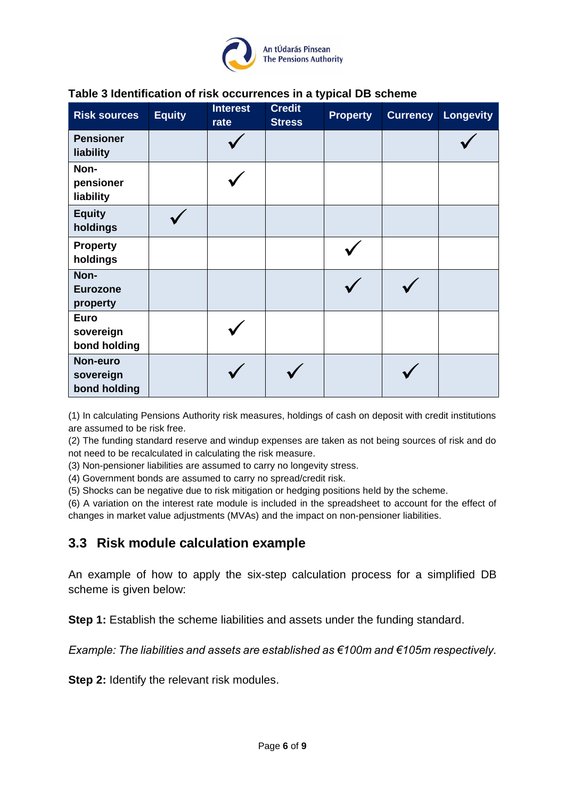

| <b>Risk sources</b>                      | <b>Equity</b> | <b>Interest</b><br>rate | <b>Credit</b><br><b>Stress</b> | <b>Property</b> | <b>Currency</b> | <b>Longevity</b> |
|------------------------------------------|---------------|-------------------------|--------------------------------|-----------------|-----------------|------------------|
| <b>Pensioner</b><br>liability            |               |                         |                                |                 |                 |                  |
| Non-<br>pensioner<br>liability           |               |                         |                                |                 |                 |                  |
| <b>Equity</b><br>holdings                |               |                         |                                |                 |                 |                  |
| <b>Property</b><br>holdings              |               |                         |                                |                 |                 |                  |
| Non-<br><b>Eurozone</b><br>property      |               |                         |                                |                 |                 |                  |
| <b>Euro</b><br>sovereign<br>bond holding |               |                         |                                |                 |                 |                  |
| Non-euro<br>sovereign<br>bond holding    |               |                         |                                |                 |                 |                  |

## **Table 3 Identification of risk occurrences in a typical DB scheme**

(1) In calculating Pensions Authority risk measures, holdings of cash on deposit with credit institutions are assumed to be risk free.

(2) The funding standard reserve and windup expenses are taken as not being sources of risk and do not need to be recalculated in calculating the risk measure.

(3) Non-pensioner liabilities are assumed to carry no longevity stress.

(4) Government bonds are assumed to carry no spread/credit risk.

(5) Shocks can be negative due to risk mitigation or hedging positions held by the scheme.

(6) A variation on the interest rate module is included in the spreadsheet to account for the effect of changes in market value adjustments (MVAs) and the impact on non-pensioner liabilities.

### <span id="page-5-0"></span>**3.3 Risk module calculation example**

An example of how to apply the six-step calculation process for a simplified DB scheme is given below:

**Step 1:** Establish the scheme liabilities and assets under the funding standard.

*Example: The liabilities and assets are established as €100m and €105m respectively.*

**Step 2:** Identify the relevant risk modules.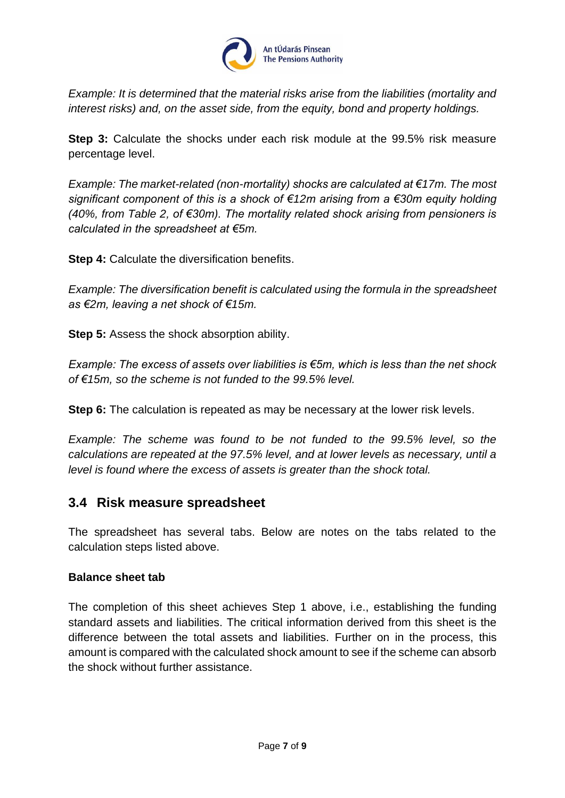

*Example: It is determined that the material risks arise from the liabilities (mortality and interest risks) and, on the asset side, from the equity, bond and property holdings.* 

**Step 3:** Calculate the shocks under each risk module at the 99.5% risk measure percentage level.

*Example: The market-related (non-mortality) shocks are calculated at €17m. The most significant component of this is a shock of €12m arising from a €30m equity holding (40%, from Table 2, of €30m). The mortality related shock arising from pensioners is calculated in the spreadsheet at €5m.*

**Step 4:** Calculate the diversification benefits.

*Example: The diversification benefit is calculated using the formula in the spreadsheet as €2m, leaving a net shock of €15m.* 

**Step 5:** Assess the shock absorption ability.

*Example: The excess of assets over liabilities is €5m, which is less than the net shock of €15m, so the scheme is not funded to the 99.5% level.*

**Step 6:** The calculation is repeated as may be necessary at the lower risk levels.

*Example: The scheme was found to be not funded to the 99.5% level, so the calculations are repeated at the 97.5% level, and at lower levels as necessary, until a level is found where the excess of assets is greater than the shock total.*

### <span id="page-6-0"></span>**3.4 Risk measure spreadsheet**

The spreadsheet has several tabs. Below are notes on the tabs related to the calculation steps listed above.

#### **Balance sheet tab**

The completion of this sheet achieves Step 1 above, i.e., establishing the funding standard assets and liabilities. The critical information derived from this sheet is the difference between the total assets and liabilities. Further on in the process, this amount is compared with the calculated shock amount to see if the scheme can absorb the shock without further assistance.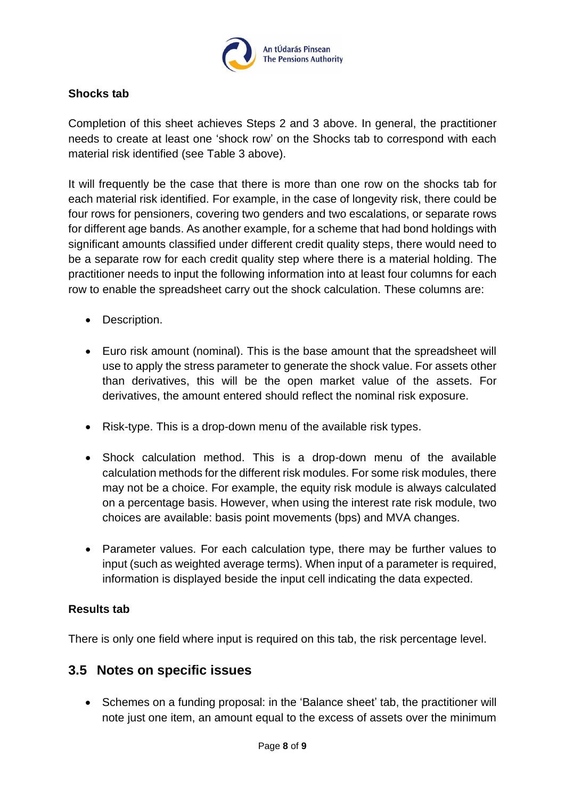

#### **Shocks tab**

Completion of this sheet achieves Steps 2 and 3 above. In general, the practitioner needs to create at least one 'shock row' on the Shocks tab to correspond with each material risk identified (see Table 3 above).

It will frequently be the case that there is more than one row on the shocks tab for each material risk identified. For example, in the case of longevity risk, there could be four rows for pensioners, covering two genders and two escalations, or separate rows for different age bands. As another example, for a scheme that had bond holdings with significant amounts classified under different credit quality steps, there would need to be a separate row for each credit quality step where there is a material holding. The practitioner needs to input the following information into at least four columns for each row to enable the spreadsheet carry out the shock calculation. These columns are:

- Description.
- Euro risk amount (nominal). This is the base amount that the spreadsheet will use to apply the stress parameter to generate the shock value. For assets other than derivatives, this will be the open market value of the assets. For derivatives, the amount entered should reflect the nominal risk exposure.
- Risk-type. This is a drop-down menu of the available risk types.
- Shock calculation method. This is a drop-down menu of the available calculation methods for the different risk modules. For some risk modules, there may not be a choice. For example, the equity risk module is always calculated on a percentage basis. However, when using the interest rate risk module, two choices are available: basis point movements (bps) and MVA changes.
- Parameter values. For each calculation type, there may be further values to input (such as weighted average terms). When input of a parameter is required, information is displayed beside the input cell indicating the data expected.

#### **Results tab**

There is only one field where input is required on this tab, the risk percentage level.

### <span id="page-7-0"></span>**3.5 Notes on specific issues**

• Schemes on a funding proposal: in the 'Balance sheet' tab, the practitioner will note just one item, an amount equal to the excess of assets over the minimum